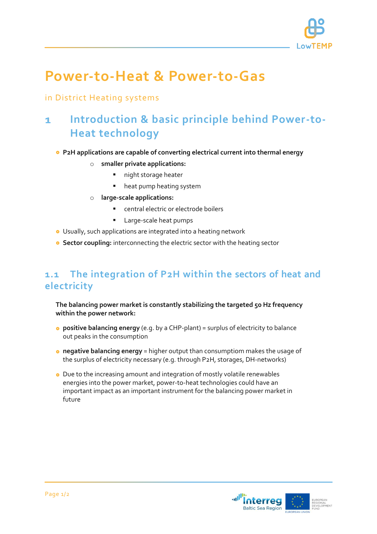

# **Power-to-Heat & Power-to-Gas**

# in District Heating systems

## **Introduction & basic principle behind Power-to-** $\mathbf{1}$ **Heat technology**

### **P2H applications are capable of converting electrical current into thermal energy**

- o **smaller private applications:**
	- **night storage heater**
	- heat pump heating system
- o **large-scale applications:**
	- central electric or electrode boilers
	- Large-scale heat pumps
- Usually, such applications are integrated into a heating network
- **Sector coupling:** interconnecting the electric sector with the heating sector

# **1.1 The integration of P2H within the sectors of heat and electricity**

**The balancing power market is constantly stabilizing the targeted 50 Hz frequency within the power network:**

- **positive balancing energy** (e.g. by a CHP-plant) = surplus of electricity to balance out peaks in the consumption
- **negative balancing energy** = higher output than consumptiom makes the usage of the surplus of electricity necessary (e.g. through P2H, storages, DH-networks)
- Due to the increasing amount and integration of mostly volatile renewables energies into the power market, power-to-heat technologies could have an important impact as an important instrument for the balancing power market in future